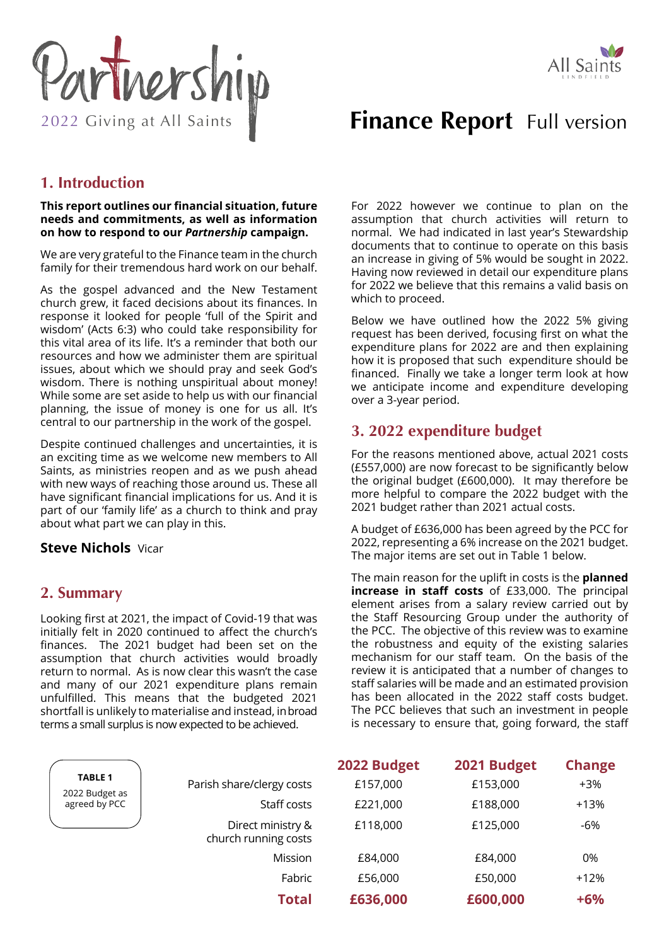



# **Finance Report** Full version

# **1. Introduction**

**This report outlines our financial situation, future needs and commitments, as well as information on how to respond to our** *Partnership* **campaign.** 

We are very grateful to the Finance team in the church family for their tremendous hard work on our behalf.

As the gospel advanced and the New Testament church grew, it faced decisions about its finances. In response it looked for people 'full of the Spirit and wisdom' (Acts 6:3) who could take responsibility for this vital area of its life. It's a reminder that both our resources and how we administer them are spiritual issues, about which we should pray and seek God's wisdom. There is nothing unspiritual about money! While some are set aside to help us with our financial planning, the issue of money is one for us all. It's central to our partnership in the work of the gospel.

Despite continued challenges and uncertainties, it is an exciting time as we welcome new members to All Saints, as ministries reopen and as we push ahead with new ways of reaching those around us. These all have significant financial implications for us. And it is part of our 'family life' as a church to think and pray about what part we can play in this.

## **Steve Nichols** Vicar

## **2. Summary**

Looking first at 2021, the impact of Covid-19 that was initially felt in 2020 continued to affect the church's finances. The 2021 budget had been set on the assumption that church activities would broadly return to normal. As is now clear this wasn't the case and many of our 2021 expenditure plans remain unfulfilled. This means that the budgeted 2021 shortfall is unlikely to materialise and instead, in broad terms a small surplus is now expected to be achieved.

For 2022 however we continue to plan on the assumption that church activities will return to normal. We had indicated in last year's Stewardship documents that to continue to operate on this basis an increase in giving of 5% would be sought in 2022. Having now reviewed in detail our expenditure plans for 2022 we believe that this remains a valid basis on which to proceed.

Below we have outlined how the 2022 5% giving request has been derived, focusing first on what the expenditure plans for 2022 are and then explaining how it is proposed that such expenditure should be financed. Finally we take a longer term look at how we anticipate income and expenditure developing over a 3-year period.

# **3. 2022 expenditure budget**

For the reasons mentioned above, actual 2021 costs (£557,000) are now forecast to be significantly below the original budget (£600,000). It may therefore be more helpful to compare the 2022 budget with the 2021 budget rather than 2021 actual costs.

A budget of £636,000 has been agreed by the PCC for 2022, representing a 6% increase on the 2021 budget. The major items are set out in Table 1 below.

The main reason for the uplift in costs is the **planned increase in staff costs** of £33,000. The principal element arises from a salary review carried out by the Staff Resourcing Group under the authority of the PCC. The objective of this review was to examine the robustness and equity of the existing salaries mechanism for our staff team. On the basis of the review it is anticipated that a number of changes to staff salaries will be made and an estimated provision has been allocated in the 2022 staff costs budget. The PCC believes that such an investment in people is necessary to ensure that, going forward, the staff

|                                                   |                                           | 2022 Budget | 2021 Budget | <b>Change</b> |
|---------------------------------------------------|-------------------------------------------|-------------|-------------|---------------|
| <b>TABLE 1</b><br>2022 Budget as<br>agreed by PCC | Parish share/clergy costs                 | £157,000    | £153,000    | $+3%$         |
|                                                   | Staff costs                               | £221,000    | £188,000    | $+13%$        |
|                                                   | Direct ministry &<br>church running costs | £118,000    | £125,000    | -6%           |
|                                                   | Mission                                   | £84,000     | £84,000     | 0%            |
|                                                   | Fabric                                    | £56,000     | £50,000     | $+12%$        |
|                                                   | <b>Total</b>                              | £636,000    | £600,000    | $+6%$         |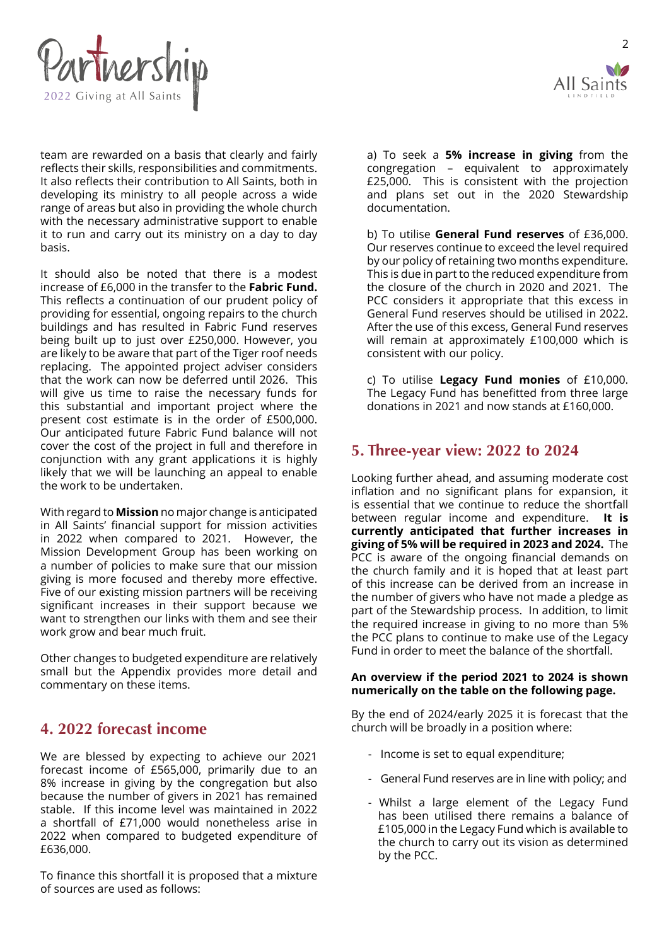

team are rewarded on a basis that clearly and fairly reflects their skills, responsibilities and commitments. It also reflects their contribution to All Saints, both in developing its ministry to all people across a wide range of areas but also in providing the whole church with the necessary administrative support to enable it to run and carry out its ministry on a day to day basis.

It should also be noted that there is a modest increase of £6,000 in the transfer to the **Fabric Fund.**  This reflects a continuation of our prudent policy of providing for essential, ongoing repairs to the church buildings and has resulted in Fabric Fund reserves being built up to just over £250,000. However, you are likely to be aware that part of the Tiger roof needs replacing. The appointed project adviser considers that the work can now be deferred until 2026. This will give us time to raise the necessary funds for this substantial and important project where the present cost estimate is in the order of £500,000. Our anticipated future Fabric Fund balance will not cover the cost of the project in full and therefore in conjunction with any grant applications it is highly likely that we will be launching an appeal to enable the work to be undertaken.

With regard to **Mission** no major change is anticipated in All Saints' financial support for mission activities in 2022 when compared to 2021. However, the Mission Development Group has been working on a number of policies to make sure that our mission giving is more focused and thereby more effective. Five of our existing mission partners will be receiving significant increases in their support because we want to strengthen our links with them and see their work grow and bear much fruit.

Other changes to budgeted expenditure are relatively small but the Appendix provides more detail and commentary on these items.

# **4. 2022 forecast income**

We are blessed by expecting to achieve our 2021 forecast income of £565,000, primarily due to an 8% increase in giving by the congregation but also because the number of givers in 2021 has remained stable. If this income level was maintained in 2022 a shortfall of £71,000 would nonetheless arise in 2022 when compared to budgeted expenditure of £636,000.

To finance this shortfall it is proposed that a mixture of sources are used as follows:



 $\overline{\phantom{0}}$ 

a) To seek a **5% increase in giving** from the congregation – equivalent to approximately £25,000. This is consistent with the projection and plans set out in the 2020 Stewardship documentation.

b) To utilise **General Fund reserves** of £36,000. Our reserves continue to exceed the level required by our policy of retaining two months expenditure. This is due in part to the reduced expenditure from the closure of the church in 2020 and 2021. The PCC considers it appropriate that this excess in General Fund reserves should be utilised in 2022. After the use of this excess, General Fund reserves will remain at approximately £100,000 which is consistent with our policy.

c) To utilise **Legacy Fund monies** of £10,000. The Legacy Fund has benefitted from three large donations in 2021 and now stands at £160,000.

# **5. Three-year view: 2022 to 2024**

Looking further ahead, and assuming moderate cost inflation and no significant plans for expansion, it is essential that we continue to reduce the shortfall between regular income and expenditure. **It is currently anticipated that further increases in giving of 5% will be required in 2023 and 2024.** The PCC is aware of the ongoing financial demands on the church family and it is hoped that at least part of this increase can be derived from an increase in the number of givers who have not made a pledge as part of the Stewardship process. In addition, to limit the required increase in giving to no more than 5% the PCC plans to continue to make use of the Legacy Fund in order to meet the balance of the shortfall.

#### **An overview if the period 2021 to 2024 is shown numerically on the table on the following page.**

By the end of 2024/early 2025 it is forecast that the church will be broadly in a position where:

- Income is set to equal expenditure;
- General Fund reserves are in line with policy; and
- Whilst a large element of the Legacy Fund has been utilised there remains a balance of £105,000 in the Legacy Fund which is available to the church to carry out its vision as determined by the PCC.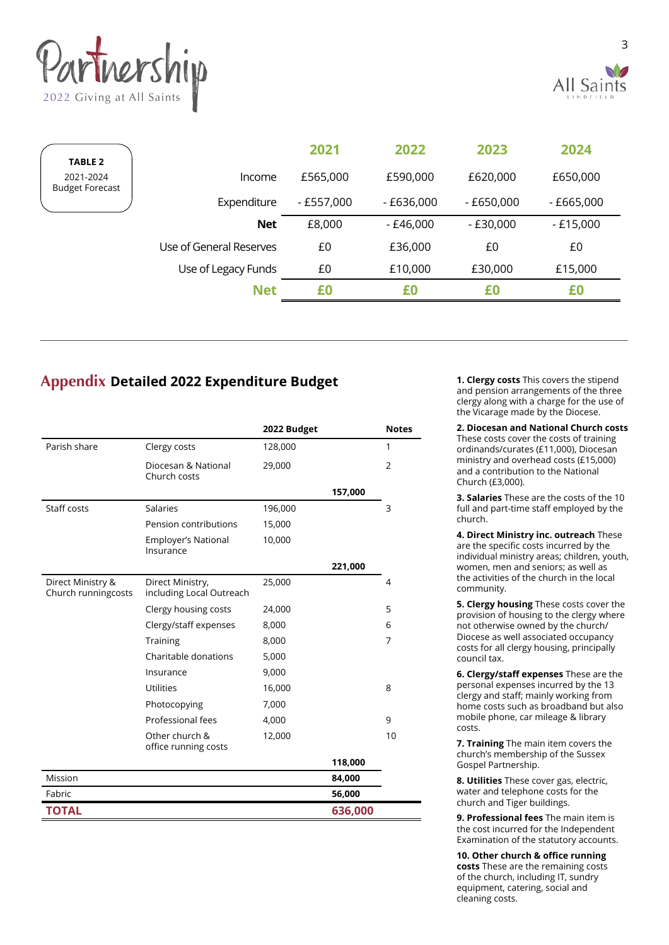



| <b>TABLE 2</b>                      |                         | 2021        | 2022       | 2023         | 2024        |
|-------------------------------------|-------------------------|-------------|------------|--------------|-------------|
| 2021-2024<br><b>Budget Forecast</b> | Income                  | £565,000    | £590,000   | £620,000     | £650,000    |
|                                     | Expenditure             | $-£557,000$ | - £636,000 | $- E650,000$ | $-£665,000$ |
|                                     | <b>Net</b>              | £8,000      | - £46,000  | - £30,000    | $-£15,000$  |
|                                     | Use of General Reserves | £0          | £36,000    | £0           | £0          |
|                                     | Use of Legacy Funds     | £0          | £10,000    | £30,000      | £15,000     |
|                                     | <b>Net</b>              | £0          | £0         | £0           | £0          |
|                                     |                         |             |            |              |             |

# **Appendix Detailed 2022 Expenditure Budget**

|                                          |                                              | 2022 Budget |         | <b>Notes</b>   |
|------------------------------------------|----------------------------------------------|-------------|---------|----------------|
| Parish share                             | Clergy costs                                 | 128,000     |         | 1              |
|                                          | Diocesan & National<br>Church costs          | 29,000      |         | $\overline{2}$ |
|                                          |                                              |             | 157,000 |                |
| Staff costs                              | <b>Salaries</b>                              | 196,000     |         | 3              |
|                                          | Pension contributions                        | 15,000      |         |                |
|                                          | Employer's National<br>Insurance             | 10,000      |         |                |
|                                          |                                              |             | 221,000 |                |
| Direct Ministry &<br>Church runningcosts | Direct Ministry,<br>including Local Outreach | 25,000      |         | 4              |
|                                          | Clergy housing costs                         | 24,000      |         | 5              |
|                                          | Clergy/staff expenses                        | 8,000       |         | 6              |
|                                          | Training                                     | 8,000       |         | 7              |
|                                          | Charitable donations                         | 5,000       |         |                |
|                                          | Insurance                                    | 9,000       |         |                |
|                                          | <b>Utilities</b>                             | 16,000      |         | 8              |
|                                          | Photocopying                                 | 7,000       |         |                |
|                                          | Professional fees                            | 4,000       |         | 9              |
|                                          | Other church &<br>office running costs       | 12,000      |         | 10             |
|                                          |                                              |             | 118,000 |                |
| Mission                                  |                                              |             | 84,000  |                |
| Fabric                                   |                                              |             | 56,000  |                |
| <b>TOTAL</b>                             |                                              |             | 636,000 |                |

**1. Clergy costs** This covers the stipend and pension arrangements of the three clergy along with a charge for the use of the Vicarage made by the Diocese.

**2. Diocesan and National Church costs** These costs cover the costs of training ordinands/curates (£11,000), Diocesan ministry and overhead costs (£15,000) and a contribution to the National Church (£3,000).

**3. Salaries** These are the costs of the 10 full and part-time staff employed by the church.

**4. Direct Ministry inc. outreach** These are the specific costs incurred by the individual ministry areas; children, youth, women, men and seniors; as well as the activities of the church in the local community.

**5. Clergy housing** These costs cover the provision of housing to the clergy where not otherwise owned by the church/ Diocese as well associated occupancy costs for all clergy housing, principally council tax.

**6. Clergy/staff expenses** These are the personal expenses incurred by the 13 clergy and staff; mainly working from home costs such as broadband but also mobile phone, car mileage & library costs.

**7. Training** The main item covers the church's membership of the Sussex Gospel Partnership.

**8. Utilities** These cover gas, electric, water and telephone costs for the church and Tiger buildings.

**9. Professional fees** The main item is the cost incurred for the Independent Examination of the statutory accounts.

**10. Other church & office running costs** These are the remaining costs of the church, including IT, sundry equipment, catering, social and cleaning costs.